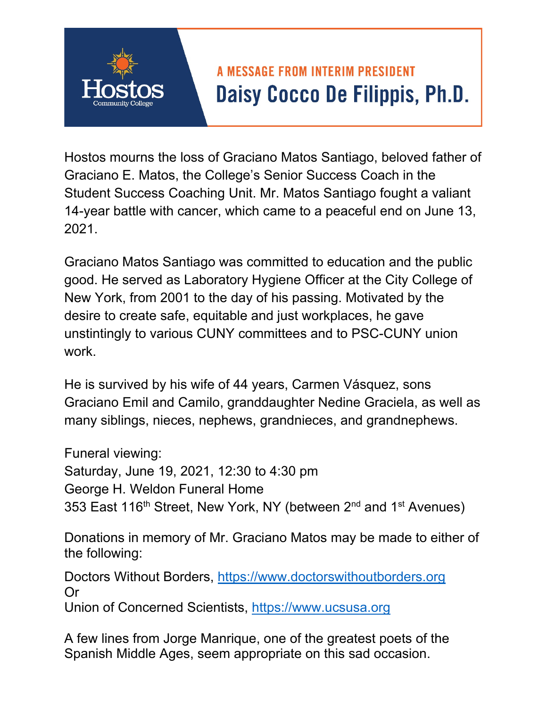## **A MESSAGE FROM INTERIM PRESIDENT** Daisy Cocco De Filippis, Ph.D.

Hostos mourns the loss of Graciano Matos Santiago, beloved father of Graciano E. Matos, the College's Senior Success Coach in the Student Success Coaching Unit. Mr. Matos Santiago fought a valiant 14-year battle with cancer, which came to a peaceful end on June 13, 2021.

Graciano Matos Santiago was committed to education and the public good. He served as Laboratory Hygiene Officer at the City College of New York, from 2001 to the day of his passing. Motivated by the desire to create safe, equitable and just workplaces, he gave unstintingly to various CUNY committees and to PSC-CUNY union work.

He is survived by his wife of 44 years, Carmen Vásquez, sons Graciano Emil and Camilo, granddaughter Nedine Graciela, as well as many siblings, nieces, nephews, grandnieces, and grandnephews.

Funeral viewing:

Saturday, June 19, 2021, 12:30 to 4:30 pm George H. Weldon Funeral Home 353 East 116<sup>th</sup> Street, New York, NY (between 2<sup>nd</sup> and 1<sup>st</sup> Avenues)

Donations in memory of Mr. Graciano Matos may be made to either of the following:

Doctors Without Borders, https://www.doctorswithoutborders.org Or

Union of Concerned Scientists, https://www.ucsusa.org

A few lines from Jorge Manrique, one of the greatest poets of the Spanish Middle Ages, seem appropriate on this sad occasion.